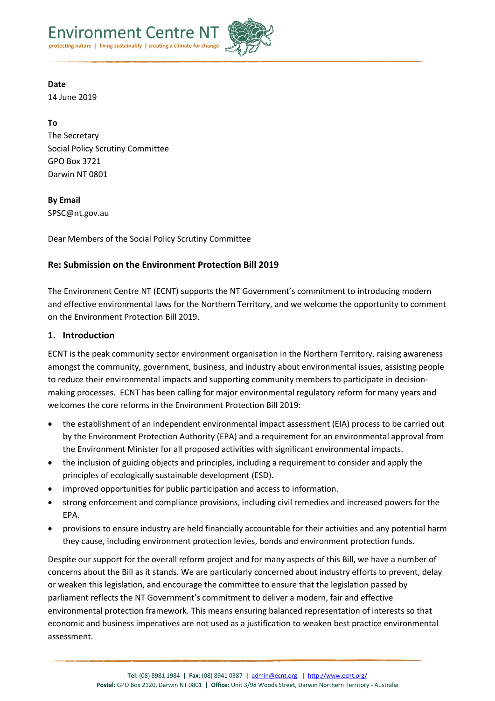



**Date** 14 June 2019

**To** The Secretary Social Policy Scrutiny Committee GPO Box 3721 Darwin NT 0801

**By Email** SPSC@nt.gov.au

Dear Members of the Social Policy Scrutiny Committee

# **Re: Submission on the Environment Protection Bill 2019**

The Environment Centre NT (ECNT) supports the NT Government's commitment to introducing modern and effective environmental laws for the Northern Territory, and we welcome the opportunity to comment on the Environment Protection Bill 2019.

### **1. Introduction**

ECNT is the peak community sector environment organisation in the Northern Territory, raising awareness amongst the community, government, business, and industry about environmental issues, assisting people to reduce their environmental impacts and supporting community members to participate in decisionmaking processes. ECNT has been calling for major environmental regulatory reform for many years and welcomes the core reforms in the Environment Protection Bill 2019:

- the establishment of an independent environmental impact assessment (EIA) process to be carried out by the Environment Protection Authority (EPA) and a requirement for an environmental approval from the Environment Minister for all proposed activities with significant environmental impacts.
- the inclusion of guiding objects and principles, including a requirement to consider and apply the principles of ecologically sustainable development (ESD).
- improved opportunities for public participation and access to information.
- strong enforcement and compliance provisions, including civil remedies and increased powers for the EPA.
- provisions to ensure industry are held financially accountable for their activities and any potential harm they cause, including environment protection levies, bonds and environment protection funds.

Despite our support for the overall reform project and for many aspects of this Bill, we have a number of concerns about the Bill as it stands. We are particularly concerned about industry efforts to prevent, delay or weaken this legislation, and encourage the committee to ensure that the legislation passed by parliament reflects the NT Government's commitment to deliver a modern, fair and effective environmental protection framework. This means ensuring balanced representation of interests so that economic and business imperatives are not used as a justification to weaken best practice environmental assessment.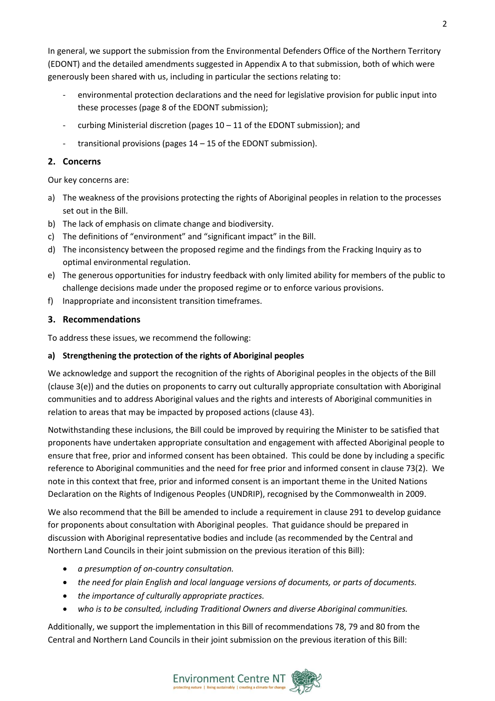In general, we support the submission from the Environmental Defenders Office of the Northern Territory (EDONT) and the detailed amendments suggested in Appendix A to that submission, both of which were generously been shared with us, including in particular the sections relating to:

- environmental protection declarations and the need for legislative provision for public input into these processes (page 8 of the EDONT submission);
- curbing Ministerial discretion (pages  $10 11$  of the EDONT submission); and
- transitional provisions (pages 14 15 of the EDONT submission).

### **2. Concerns**

Our key concerns are:

- a) The weakness of the provisions protecting the rights of Aboriginal peoples in relation to the processes set out in the Bill.
- b) The lack of emphasis on climate change and biodiversity.
- c) The definitions of "environment" and "significant impact" in the Bill.
- d) The inconsistency between the proposed regime and the findings from the Fracking Inquiry as to optimal environmental regulation.
- e) The generous opportunities for industry feedback with only limited ability for members of the public to challenge decisions made under the proposed regime or to enforce various provisions.
- f) Inappropriate and inconsistent transition timeframes.

## **3. Recommendations**

To address these issues, we recommend the following:

### **a) Strengthening the protection of the rights of Aboriginal peoples**

We acknowledge and support the recognition of the rights of Aboriginal peoples in the objects of the Bill (clause 3(e)) and the duties on proponents to carry out culturally appropriate consultation with Aboriginal communities and to address Aboriginal values and the rights and interests of Aboriginal communities in relation to areas that may be impacted by proposed actions (clause 43).

Notwithstanding these inclusions, the Bill could be improved by requiring the Minister to be satisfied that proponents have undertaken appropriate consultation and engagement with affected Aboriginal people to ensure that free, prior and informed consent has been obtained. This could be done by including a specific reference to Aboriginal communities and the need for free prior and informed consent in clause 73(2). We note in this context that free, prior and informed consent is an important theme in the United Nations Declaration on the Rights of Indigenous Peoples (UNDRIP), recognised by the Commonwealth in 2009.

We also recommend that the Bill be amended to include a requirement in clause 291 to develop guidance for proponents about consultation with Aboriginal peoples. That guidance should be prepared in discussion with Aboriginal representative bodies and include (as recommended by the Central and Northern Land Councils in their joint submission on the previous iteration of this Bill):

- *a presumption of on-country consultation.*
- *the need for plain English and local language versions of documents, or parts of documents.*
- *the importance of culturally appropriate practices.*
- *who is to be consulted, including Traditional Owners and diverse Aboriginal communities.*

Additionally, we support the implementation in this Bill of recommendations 78, 79 and 80 from the Central and Northern Land Councils in their joint submission on the previous iteration of this Bill:



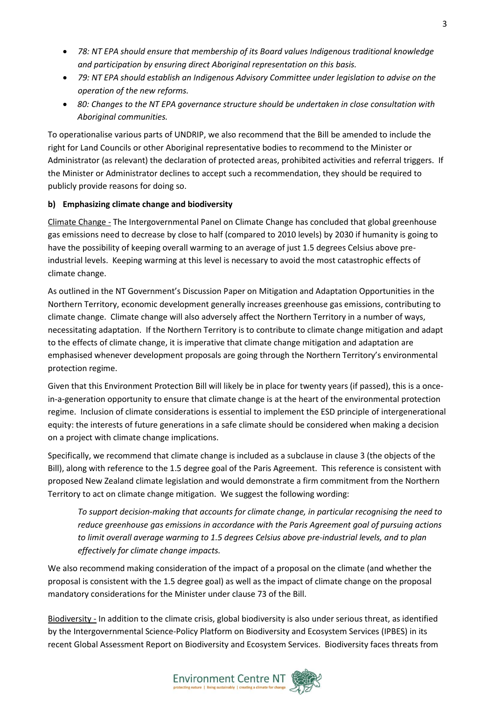- *78: NT EPA should ensure that membership of its Board values Indigenous traditional knowledge and participation by ensuring direct Aboriginal representation on this basis.*
- *79: NT EPA should establish an Indigenous Advisory Committee under legislation to advise on the operation of the new reforms.*
- *80: Changes to the NT EPA governance structure should be undertaken in close consultation with Aboriginal communities.*

To operationalise various parts of UNDRIP, we also recommend that the Bill be amended to include the right for Land Councils or other Aboriginal representative bodies to recommend to the Minister or Administrator (as relevant) the declaration of protected areas, prohibited activities and referral triggers. If the Minister or Administrator declines to accept such a recommendation, they should be required to publicly provide reasons for doing so.

### **b) Emphasizing climate change and biodiversity**

Climate Change - The Intergovernmental Panel on Climate Change has concluded that global greenhouse gas emissions need to decrease by close to half (compared to 2010 levels) by 2030 if humanity is going to have the possibility of keeping overall warming to an average of just 1.5 degrees Celsius above preindustrial levels. Keeping warming at this level is necessary to avoid the most catastrophic effects of climate change.

As outlined in the NT Government's Discussion Paper on Mitigation and Adaptation Opportunities in the Northern Territory, economic development generally increases greenhouse gas emissions, contributing to climate change. Climate change will also adversely affect the Northern Territory in a number of ways, necessitating adaptation. If the Northern Territory is to contribute to climate change mitigation and adapt to the effects of climate change, it is imperative that climate change mitigation and adaptation are emphasised whenever development proposals are going through the Northern Territory's environmental protection regime.

Given that this Environment Protection Bill will likely be in place for twenty years (if passed), this is a oncein-a-generation opportunity to ensure that climate change is at the heart of the environmental protection regime. Inclusion of climate considerations is essential to implement the ESD principle of intergenerational equity: the interests of future generations in a safe climate should be considered when making a decision on a project with climate change implications.

Specifically, we recommend that climate change is included as a subclause in clause 3 (the objects of the Bill), along with reference to the 1.5 degree goal of the Paris Agreement. This reference is consistent with proposed New Zealand climate legislation and would demonstrate a firm commitment from the Northern Territory to act on climate change mitigation. We suggest the following wording:

*To support decision-making that accounts for climate change, in particular recognising the need to reduce greenhouse gas emissions in accordance with the Paris Agreement goal of pursuing actions to limit overall average warming to 1.5 degrees Celsius above pre-industrial levels, and to plan effectively for climate change impacts.*

We also recommend making consideration of the impact of a proposal on the climate (and whether the proposal is consistent with the 1.5 degree goal) as well as the impact of climate change on the proposal mandatory considerations for the Minister under clause 73 of the Bill.

Biodiversity - In addition to the climate crisis, global biodiversity is also under serious threat, as identified by the Intergovernmental Science-Policy Platform on Biodiversity and Ecosystem Services (IPBES) in its recent Global Assessment Report on Biodiversity and Ecosystem Services. Biodiversity faces threats from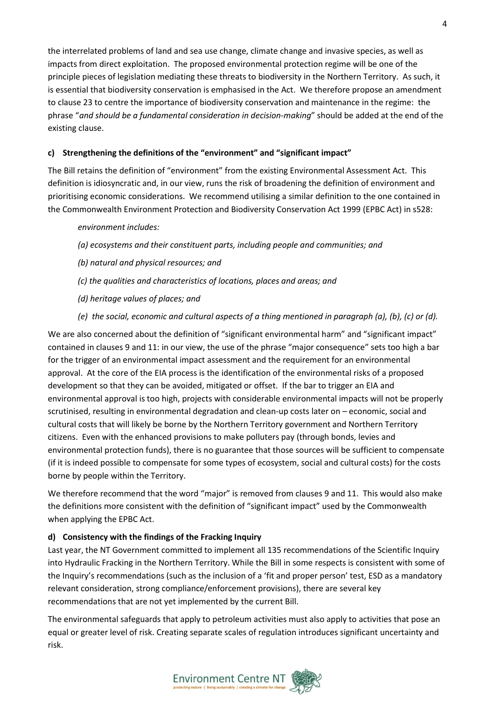the interrelated problems of land and sea use change, climate change and invasive species, as well as impacts from direct exploitation. The proposed environmental protection regime will be one of the principle pieces of legislation mediating these threats to biodiversity in the Northern Territory. As such, it is essential that biodiversity conservation is emphasised in the Act. We therefore propose an amendment to clause 23 to centre the importance of biodiversity conservation and maintenance in the regime: the phrase "*and should be a fundamental consideration in decision-making*" should be added at the end of the existing clause.

## **c) Strengthening the definitions of the "environment" and "significant impact"**

The Bill retains the definition of "environment" from the existing Environmental Assessment Act. This definition is idiosyncratic and, in our view, runs the risk of broadening the definition of environment and prioritising economic considerations. We recommend utilising a similar definition to the one contained in the Commonwealth Environment Protection and Biodiversity Conservation Act 1999 (EPBC Act) in s528:

### *environment includes:*

- *(a) ecosystems and their constituent parts, including people and communities; and*
- *(b) natural and physical resources; and*
- *(c) the qualities and characteristics of locations, places and areas; and*
- *(d) heritage values of places; and*
- *(e) the social, economic and cultural aspects of a thing mentioned in paragraph (a), (b), (c) or (d).*

We are also concerned about the definition of "significant environmental harm" and "significant impact" contained in clauses 9 and 11: in our view, the use of the phrase "major consequence" sets too high a bar for the trigger of an environmental impact assessment and the requirement for an environmental approval. At the core of the EIA process is the identification of the environmental risks of a proposed development so that they can be avoided, mitigated or offset. If the bar to trigger an EIA and environmental approval is too high, projects with considerable environmental impacts will not be properly scrutinised, resulting in environmental degradation and clean-up costs later on – economic, social and cultural costs that will likely be borne by the Northern Territory government and Northern Territory citizens. Even with the enhanced provisions to make polluters pay (through bonds, levies and environmental protection funds), there is no guarantee that those sources will be sufficient to compensate (if it is indeed possible to compensate for some types of ecosystem, social and cultural costs) for the costs borne by people within the Territory.

We therefore recommend that the word "major" is removed from clauses 9 and 11. This would also make the definitions more consistent with the definition of "significant impact" used by the Commonwealth when applying the EPBC Act.

### **d) Consistency with the findings of the Fracking Inquiry**

Last year, the NT Government committed to implement all 135 recommendations of the Scientific Inquiry into Hydraulic Fracking in the Northern Territory. While the Bill in some respects is consistent with some of the Inquiry's recommendations (such as the inclusion of a 'fit and proper person' test, ESD as a mandatory relevant consideration, strong compliance/enforcement provisions), there are several key recommendations that are not yet implemented by the current Bill.

The environmental safeguards that apply to petroleum activities must also apply to activities that pose an equal or greater level of risk. Creating separate scales of regulation introduces significant uncertainty and risk.

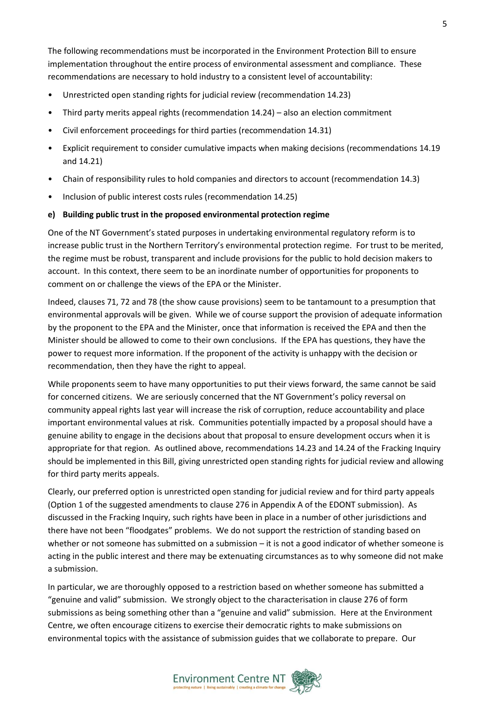The following recommendations must be incorporated in the Environment Protection Bill to ensure implementation throughout the entire process of environmental assessment and compliance. These recommendations are necessary to hold industry to a consistent level of accountability:

- Unrestricted open standing rights for judicial review (recommendation 14.23)
- Third party merits appeal rights (recommendation 14.24) also an election commitment
- Civil enforcement proceedings for third parties (recommendation 14.31)
- Explicit requirement to consider cumulative impacts when making decisions (recommendations 14.19 and 14.21)
- Chain of responsibility rules to hold companies and directors to account (recommendation 14.3)
- Inclusion of public interest costs rules (recommendation 14.25)

#### **e) Building public trust in the proposed environmental protection regime**

One of the NT Government's stated purposes in undertaking environmental regulatory reform is to increase public trust in the Northern Territory's environmental protection regime. For trust to be merited, the regime must be robust, transparent and include provisions for the public to hold decision makers to account. In this context, there seem to be an inordinate number of opportunities for proponents to comment on or challenge the views of the EPA or the Minister.

Indeed, clauses 71, 72 and 78 (the show cause provisions) seem to be tantamount to a presumption that environmental approvals will be given. While we of course support the provision of adequate information by the proponent to the EPA and the Minister, once that information is received the EPA and then the Minister should be allowed to come to their own conclusions. If the EPA has questions, they have the power to request more information. If the proponent of the activity is unhappy with the decision or recommendation, then they have the right to appeal.

While proponents seem to have many opportunities to put their views forward, the same cannot be said for concerned citizens. We are seriously concerned that the NT Government's policy reversal on community appeal rights last year will increase the risk of corruption, reduce accountability and place important environmental values at risk. Communities potentially impacted by a proposal should have a genuine ability to engage in the decisions about that proposal to ensure development occurs when it is appropriate for that region. As outlined above, recommendations 14.23 and 14.24 of the Fracking Inquiry should be implemented in this Bill, giving unrestricted open standing rights for judicial review and allowing for third party merits appeals.

Clearly, our preferred option is unrestricted open standing for judicial review and for third party appeals (Option 1 of the suggested amendments to clause 276 in Appendix A of the EDONT submission). As discussed in the Fracking Inquiry, such rights have been in place in a number of other jurisdictions and there have not been "floodgates" problems. We do not support the restriction of standing based on whether or not someone has submitted on a submission – it is not a good indicator of whether someone is acting in the public interest and there may be extenuating circumstances as to why someone did not make a submission.

In particular, we are thoroughly opposed to a restriction based on whether someone has submitted a "genuine and valid" submission. We strongly object to the characterisation in clause 276 of form submissions as being something other than a "genuine and valid" submission. Here at the Environment Centre, we often encourage citizens to exercise their democratic rights to make submissions on environmental topics with the assistance of submission guides that we collaborate to prepare. Our